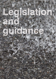## Legislation and outdance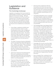## **Legislation and Guidance**

## **The Cambridge landscape**

Legislation and guidance that recommends the implementation of SUDS is varied and includes high level Government strategy. Although SUDS to be adopted by the City Council are required to be in accordance with this guide there are other sources of guidance that must be considered when approaching any design. The main relevant documents are listed below, but should not be considered as an exhaustive list:

- Future Water, published by DEFRA sets out the Government's vision for water, including good surface water management which will involve increased use of SUDS and surface water flow routes. This will be achieved through the design and planning of the whole urban fabric, as the capacity of the landscape to store and convey water is much greater than with below-ground systems.
- The Water Framework Directive 2000/60/EC and the associated River Basin Management Plan - Anglian River Basin District, published by the Environment Agency. This sets down quality targets for local rivers and watercourses including Hobson's Brook and The River Cam and encourages the enhanced use of SUDS.
- Great Ouse Catchment Flood Management Plan soon to published by Environment Agency provides actions that Local Authorities must report against including the provision of SUDS in new developments.
- Flood and Water Management Bill published by DEFRA which builds on the recommendations of Sir Michael Pitt's review of the summer 2007 floods and includes a recommendation that Local Authorities adopt SUDS.
- Planning Policy Statement PPS 25, Development and flood risk states that priority should be given to the use of SUDS and where they are not deemed appropriate (which is unlikely on all except the rarest of sites), justification should be given for not using them.
- The Building Regulations part H, Drainage and Waste Disposal, states that infiltration should be the first considered option for rainwater disposal, followed by discharge to a watercourse. Discharge to a sewer should only be considered where other forms are not practicable.
- The Cambridge Water Cycle Strategy Phase 1 aims to provide a sustainable approach to the provision of water services infrastructure to the growth sites in and around Cambridge. This includes aspects such as flood risk management, drainage and ecology. The strategy has been developed in conjunction with organizations including Cambridge City Council and Cambridgeshire County Council. The use of SUDS can play an important part in helping achieve the aims of the Water Cycle Strategy. Phase 2 is currently being developed.
- Cambridge City Council Local Plan 2006. Policy 9/3 which states "the development of the urban extensions will incorporate Sustainable Drainage Systems where practicable" policy 9/3m.
- Cambridge City Council Sustainable Design and Construction Supplementary Planning Document.
- East of England Plan, published by the Secretary of State for Communities and Local Government, Constitutes the regional spatial strategy for the east of England. Policy WAT 4 requires that sustainable drainage systems are employed in all appropriate developments.

**22**